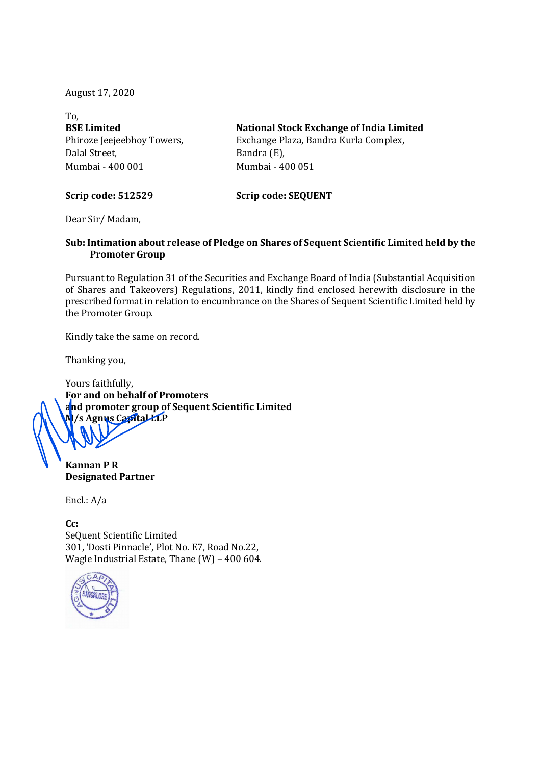August 17, 2020

| To.                        |                                                 |  |  |  |  |  |  |
|----------------------------|-------------------------------------------------|--|--|--|--|--|--|
| <b>BSE Limited</b>         | <b>National Stock Exchange of India Limited</b> |  |  |  |  |  |  |
| Phiroze Jeejeebhoy Towers, | Exchange Plaza, Bandra Kurla Complex,           |  |  |  |  |  |  |
| Dalal Street,              | Bandra (E),                                     |  |  |  |  |  |  |
| Mumbai - 400 001           | Mumbai - 400 051                                |  |  |  |  |  |  |
| <b>Scrip code: 512529</b>  | <b>Scrip code: SEQUENT</b>                      |  |  |  |  |  |  |

Dear Sir/ Madam,

## Sub: Intimation about release of Pledge on Shares of Sequent Scientific Limited held by the Promoter Group

Pursuant to Regulation 31 of the Securities and Exchange Board of India (Substantial Acquisition of Shares and Takeovers) Regulations, 2011, kindly find enclosed herewith disclosure in the prescribed format in relation to encumbrance on the Shares of Sequent Scientific Limited held by the Promoter Group.

Kindly take the same on record.

Thanking you,

Yours faithfully, For and on behalf of Promoters and promoter group of Sequent Scientific Limited /s Agnus Capital LLP

Kannan P R Designated Partner

Encl.: A/a

C<sub>c</sub>: SeQuent Scientific Limited 301, 'Dosti Pinnacle', Plot No. E7, Road No.22, Wagle Industrial Estate, Thane (W) – 400 604.

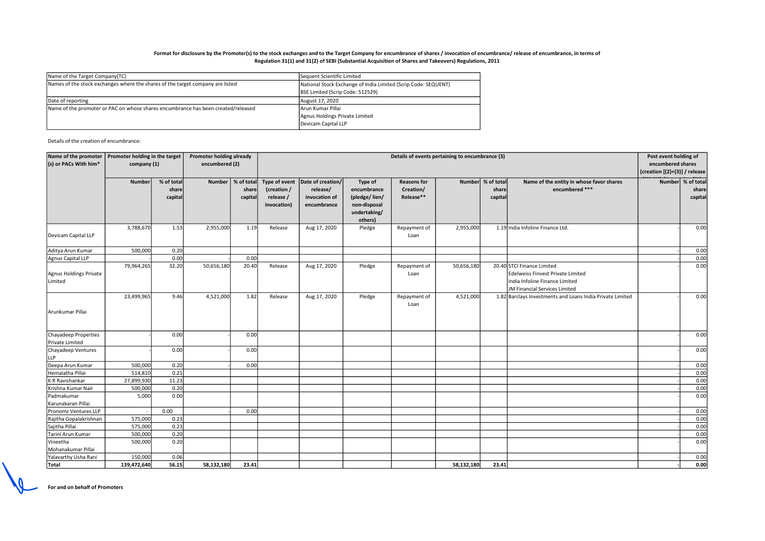## Format for disclosure by the Promoter(s) to the stock exchanges and to the Target Company for encumbrance of shares / invocation of encumbrance/ release of encumbrance, in terms of Regulation 31(1) and 31(2) of SEBI (Substantial Acquisition of Shares and Takeovers) Regulations, 2011

| Name of the Target Company (TC)                                                   | Sequent Scientific Limited                                     |  |  |  |
|-----------------------------------------------------------------------------------|----------------------------------------------------------------|--|--|--|
| Names of the stock exchanges where the shares of the target company are listed    | National Stock Exchange of India Limited (Scrip Code: SEQUENT) |  |  |  |
|                                                                                   | BSE Limited (Scrip Code: 512529)                               |  |  |  |
| Date of reporting                                                                 | August 17, 2020                                                |  |  |  |
| Name of the promoter or PAC on whose shares encumbrance has been created/released | lArun Kumar Pillai                                             |  |  |  |
|                                                                                   | Agnus Holdings Private Limited                                 |  |  |  |
|                                                                                   | Devicam Capital LLP                                            |  |  |  |
|                                                                                   |                                                                |  |  |  |

Details of the creation of encumbrance:

| Name of the promoter   | Promoter holding in the target<br>company (1) |            | Promoter holding already |                     | Details of events pertaining to encumbrance (3) |                                   |               |                    |            |                   | Post event holding of                                     |                   |                   |
|------------------------|-----------------------------------------------|------------|--------------------------|---------------------|-------------------------------------------------|-----------------------------------|---------------|--------------------|------------|-------------------|-----------------------------------------------------------|-------------------|-------------------|
| (s) or PACs With him*  |                                               |            |                          | encumbered (2)      |                                                 |                                   |               |                    |            |                   |                                                           | encumbered shares |                   |
|                        |                                               |            |                          |                     |                                                 |                                   |               |                    |            |                   | $\vert$ {creation $[(2)+(3)]$ / release                   |                   |                   |
|                        | <b>Number</b>                                 | % of total |                          | Number   % of total |                                                 | Type of event   Date of creation/ | Type of       | <b>Reasons for</b> |            | Number % of total | Name of the entity in whose favor shares                  |                   | Number % of total |
|                        |                                               | share      |                          | share               | (creation /                                     | release/                          | encumbrance   | Creation/          |            | share             | encumbered ***                                            |                   | share             |
|                        |                                               | capital    |                          | capital             | release /                                       | invocation of                     | (pledge/lien/ | Release**          |            | capital           |                                                           |                   | capital           |
|                        |                                               |            |                          |                     | invocation)                                     | encumbrance                       | non-disposal  |                    |            |                   |                                                           |                   |                   |
|                        |                                               |            |                          |                     |                                                 |                                   | undertaking/  |                    |            |                   |                                                           |                   |                   |
|                        |                                               |            |                          |                     |                                                 |                                   | others)       |                    |            |                   |                                                           |                   |                   |
|                        | 3,788,670                                     | 1.53       | 2,955,000                | 1.19                | Release                                         | Aug 17, 2020                      | Pledge        | Repayment of       | 2,955,000  |                   | 1.19 India Infoline Finance Ltd.                          |                   | 0.00              |
| Devicam Capital LLP    |                                               |            |                          |                     |                                                 |                                   |               | Loan               |            |                   |                                                           |                   |                   |
| Aditya Arun Kumar      | 500,000                                       | 0.20       |                          |                     |                                                 |                                   |               |                    |            |                   |                                                           |                   | 0.00              |
| Agnus Capital LLP      |                                               | 0.00       |                          | 0.00                |                                                 |                                   |               |                    |            |                   |                                                           |                   | 0.00              |
|                        | 79,964,265                                    | 32.20      | 50,656,180               | 20.40               | Release                                         | Aug 17, 2020                      | Pledge        | Repayment of       | 50,656,180 |                   | 20.40 STCI Finance Limited                                |                   | 0.00              |
| Agnus Holdings Private |                                               |            |                          |                     |                                                 |                                   |               | Loan               |            |                   | Edelweiss Finvest Private Limited                         |                   |                   |
| Limited                |                                               |            |                          |                     |                                                 |                                   |               |                    |            |                   | India Infoline Finance Limited                            |                   |                   |
|                        |                                               |            |                          |                     |                                                 |                                   |               |                    |            |                   | JM Financial Services Limited                             |                   |                   |
|                        | 23,499,965                                    | 9.46       | 4,521,000                | 1.82                | Release                                         | Aug 17, 2020                      | Pledge        | Repayment of       | 4,521,000  |                   | 1.82 Barclays Investments and Loans India Private Limited |                   | 0.00              |
|                        |                                               |            |                          |                     |                                                 |                                   |               | Loan               |            |                   |                                                           |                   |                   |
| Arunkumar Pillai       |                                               |            |                          |                     |                                                 |                                   |               |                    |            |                   |                                                           |                   |                   |
| Chayadeep Properties   |                                               | 0.00       |                          | 0.00                |                                                 |                                   |               |                    |            |                   |                                                           |                   | 0.00              |
| Private Limited        |                                               |            |                          |                     |                                                 |                                   |               |                    |            |                   |                                                           |                   |                   |
| Chayadeep Ventures     |                                               | 0.00       |                          | 0.00                |                                                 |                                   |               |                    |            |                   |                                                           |                   | 0.00              |
| <b>LLP</b>             |                                               |            |                          |                     |                                                 |                                   |               |                    |            |                   |                                                           |                   |                   |
| Deepa Arun Kumar       | 500,000                                       | 0.20       |                          | 0.00                |                                                 |                                   |               |                    |            |                   |                                                           |                   | 0.00              |
| Hemalatha Pillai       | 514,810                                       | 0.21       |                          |                     |                                                 |                                   |               |                    |            |                   |                                                           |                   | 0.00              |
| K R Ravishankar        | 27,899,930                                    | 11.23      |                          |                     |                                                 |                                   |               |                    |            |                   |                                                           |                   | 0.00              |
| Krishna Kumar Nair     | 500,000                                       | 0.20       |                          |                     |                                                 |                                   |               |                    |            |                   |                                                           |                   | 0.00              |
| Padmakumar             | 5,000                                         | 0.00       |                          |                     |                                                 |                                   |               |                    |            |                   |                                                           |                   | 0.00              |
| Karunakaran Pillai     |                                               |            |                          |                     |                                                 |                                   |               |                    |            |                   |                                                           |                   |                   |
| Pronomz Ventures LLP   |                                               | 0.00       |                          | 0.00                |                                                 |                                   |               |                    |            |                   |                                                           |                   | 0.00              |
| Rajitha Gopalakrishnan | 575,000                                       | 0.23       |                          |                     |                                                 |                                   |               |                    |            |                   |                                                           |                   | 0.00              |
| Sajitha Pillai         | 575,000                                       | 0.23       |                          |                     |                                                 |                                   |               |                    |            |                   |                                                           |                   | 0.00              |
| Tarini Arun Kumar      | 500,000                                       | 0.20       |                          |                     |                                                 |                                   |               |                    |            |                   |                                                           |                   | 0.00              |
| Vineetha               | 500,000                                       | 0.20       |                          |                     |                                                 |                                   |               |                    |            |                   |                                                           |                   | 0.00              |
| Mohanakumar Pillai     |                                               |            |                          |                     |                                                 |                                   |               |                    |            |                   |                                                           |                   |                   |
| Yalavarthy Usha Rani   | 150,000                                       | 0.06       |                          |                     |                                                 |                                   |               |                    |            |                   |                                                           |                   | 0.00              |
| Total                  | 139,472,640                                   | 56.15      | 58,132,180               | 23.41               |                                                 |                                   |               |                    | 58,132,180 | 23.41             |                                                           |                   | 0.00              |